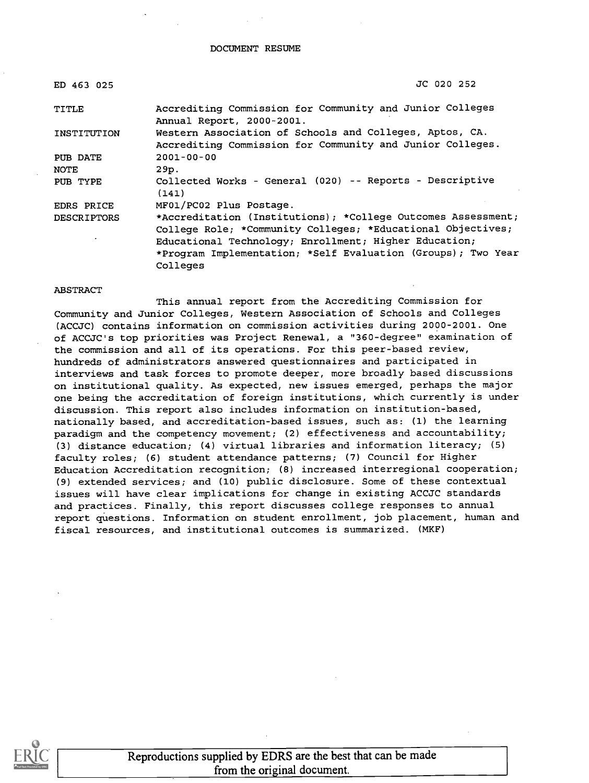#### DOCUMENT RESUME

| ED 463 025         | JC 020 252                                                                                                                                                                                                                                                       |
|--------------------|------------------------------------------------------------------------------------------------------------------------------------------------------------------------------------------------------------------------------------------------------------------|
| TITLE              | Accrediting Commission for Community and Junior Colleges<br>Annual Report, 2000-2001.                                                                                                                                                                            |
| INSTITUTION        | Western Association of Schools and Colleges, Aptos, CA.<br>Accrediting Commission for Community and Junior Colleges.                                                                                                                                             |
| PUB DATE           | $2001 - 00 - 00$                                                                                                                                                                                                                                                 |
| NOTE               | 29p.                                                                                                                                                                                                                                                             |
| PUB TYPE           | Collected Works - General (020) -- Reports - Descriptive<br>(141)                                                                                                                                                                                                |
| EDRS PRICE         | MF01/PC02 Plus Postage.                                                                                                                                                                                                                                          |
| <b>DESCRIPTORS</b> | *Accreditation (Institutions); *College Outcomes Assessment;<br>College Role; *Community Colleges; *Educational Objectives;<br>Educational Technology; Enrollment; Higher Education;<br>*Program Implementation; *Self Evaluation (Groups); Two Year<br>Colleges |

#### ABSTRACT

This annual report from the Accrediting Commission for Community and Junior Colleges, Western Association of Schools and Colleges (ACCJC) contains information on commission activities during 2000-2001. One of ACCJC's top priorities was Project Renewal, a "360-degree" examination of the commission and all of its operations. For this peer-based review, hundreds of administrators answered questionnaires and participated in interviews and task forces to promote deeper, more broadly based discussions on institutional quality. As expected, new issues emerged, perhaps the major one being the accreditation of foreign institutions, which currently is under discussion. This report also includes information on institution-based, nationally based, and accreditation-based issues, such as: (1) the learning paradigm and the competency movement; (2) effectiveness and accountability; (3) distance education; (4) virtual libraries and information literacy; (5) faculty roles; (6) student attendance patterns; (7) Council for Higher Education Accreditation recognition; (8) increased interregional cooperation; (9) extended services; and (10) public disclosure. Some of these contextual issues will have clear implications for change in existing ACCJC standards and practices. Finally, this report discusses college responses to annual report questions. Information on student enrollment, job placement, human and fiscal resources, and institutional outcomes is summarized. (MKF)



Reproductions supplied by EDRS are the best that can be made from the original document.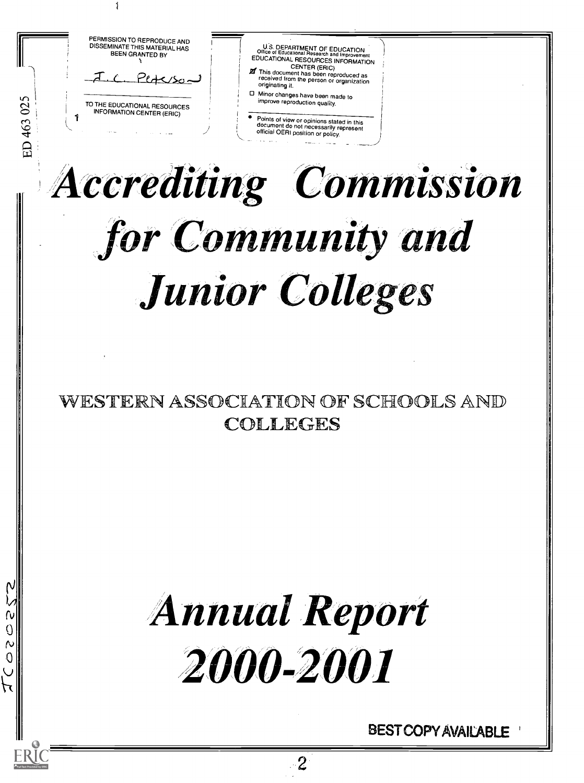TO THE EDUCATIONAL RESOURCES<br>INFORMATION CENTER (ERIC)  $\mathbb{C}$  $\Xi$  ,  $\Xi$  ,  $\Xi$ PERMISSION TO REPRODUCE AND DISSEMINATE THIS MATERIAL HAS BEEN GRANTED BY U.S. DEPARTMENT OF EDUCATION<br>
EDUCATIONAL RESOURCES INFORMATION<br>
EDUCATIONAL RESOURCES INFORMATION<br>
CENTER (ERIC)<br> **27** This document has been reproduced as<br>
received from received from the person or organization originating it. Minor changes have been made to improve reproduction quality. Points of view or opinions stated in this<br>document do not necessarily represent official OERI position or policy.

# 7-/ crediting Commission for Community and Junior Colleges

# WESTERN ASSOCIATION OF SCHOOLS AND  $\parallel$ COLLEGES

# **Annual Report** 2000-2001

rv <sub>III</sub> i  $\mathbb{Q}$   $\parallel$   $\mathbb{Q}$ 

 $\mathbf{O}$   $\parallel$   $\parallel$ 

J

BEST COPY AVAILABLE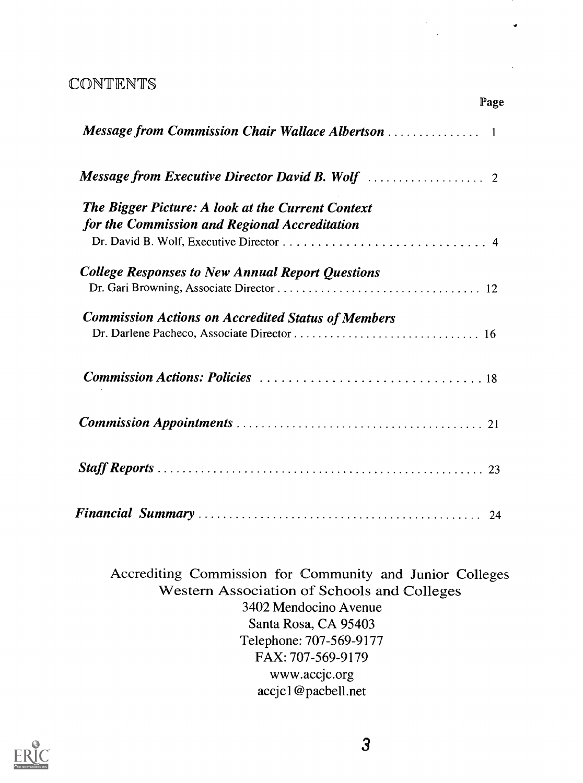# CONTENTS

| <b>The Bigger Picture: A look at the Current Context</b><br>for the Commission and Regional Accreditation |  |
|-----------------------------------------------------------------------------------------------------------|--|
| <b>College Responses to New Annual Report Questions</b>                                                   |  |
| <b>Commission Actions on Accredited Status of Members</b>                                                 |  |
|                                                                                                           |  |
|                                                                                                           |  |
|                                                                                                           |  |
|                                                                                                           |  |

Page

Accrediting Commission for Community and Junior Colleges Western Association of Schools and Colleges 3402 Mendocino Avenue Santa Rosa, CA 95403 Telephone: 707-569-9177 FAX: 707-569-9179 www.accjc.org accjcl@pacbell.net

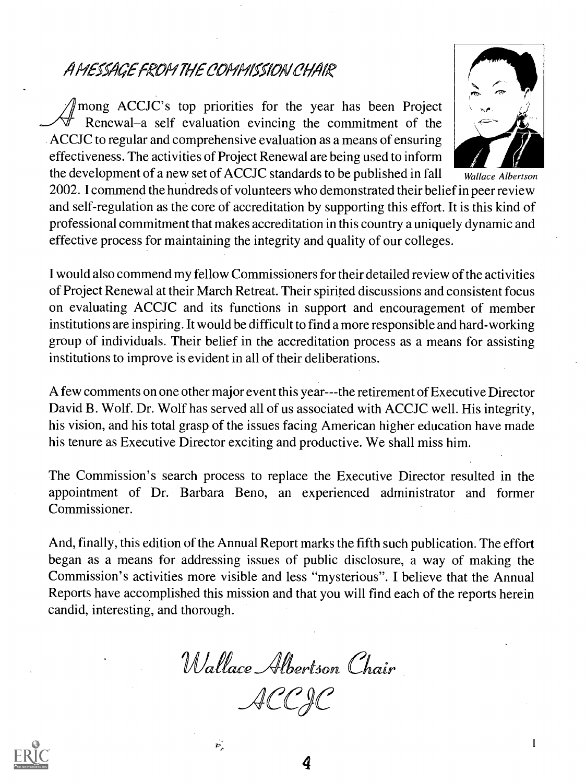# A MESSAGE FROM THE COMMISSION CHAIR

 $\gamma$  mong ACCJC's top priorities for the year has been Project Renewal–a self evaluation evincing the commitment of the ACCJC to regular and comprehensive evaluation as a means of ensuring effectiveness. The activities of Project Renewal are being used to inform the development of a new set of ACCJC standards to be published in fall



Wallace Albertson

2002. I commend the hundreds of volunteers who demonstrated their belief in peer review and self-regulation as the core of accreditation by supporting this effort. It is this kind of professional commitment that makes accreditation in this country a uniquely dynamic and effective process for maintaining the integrity and quality of our colleges.

I would also commend my fellow Commissioners for their detailed review of the activities of Project Renewal at their March Retreat. Their spirited discussions and consistent focus on evaluating ACCJC and its functions in support and encouragement of member institutions are inspiring. It would be difficult to find a more responsible and hard-working group of individuals. Their belief in the accreditation process as a means for assisting institutions to improve is evident in all of their deliberations.

A few comments on one other major event this year---the retirement of Executive Director David B. Wolf. Dr. Wolf has served all of us associated with ACCJC well. His integrity, his vision, and his total grasp of the issues facing American higher education have made his tenure as Executive Director exciting and productive. We shall miss him.

The Commission's search process to replace the Executive Director resulted in the appointment of Dr. Barbara Beno, an experienced administrator and former Commissioner.

And, finally, this edition of the Annual Report marks the fifth such publication. The effort began as a means for addressing issues of public disclosure, a way of making the Commission's activities more visible and less "mysterious". I believe that the Annual Reports have accomplished this mission and that you will find each of the reports herein candid, interesting, and thorough.

Wallace Albertson Chair \_ACCje

 $\sigma_{\rm s}$ 

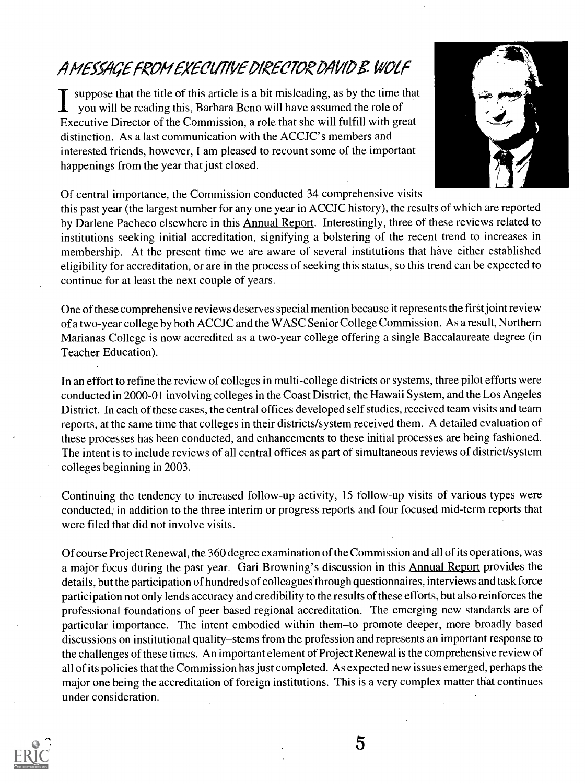# A MESSAGE FROM EXECUTIVE DIRECTOR DAVID B. WOLF

suppose that the title of this article is a bit misleading, as by the time that  $\mathbf 1$  you will be reading this, Barbara Beno will have assumed the role of Executive Director of the Commission, a role that she will fulfill with great distinction. As a last communication with the ACCJC' s members and interested friends, however, I am pleased to recount some of the important happenings from the year that just closed.



Of central importance, the Commission conducted 34 comprehensive visits

this past year (the largest number for any one year in ACCJC history), the results of which are reported by Darlene Pacheco elsewhere in this **Annual Report.** Interestingly, three of these reviews related to institutions seeking initial accreditation, signifying a bolstering of the recent trend to increases in membership. At the present time we are aware of several institutions that have either established eligibility for accreditation, or are in the process of seeking this status, so this trend can be expected to continue for at least the next couple of years.

One of these comprehensive reviews deserves special mention because it represents the first joint review of a two-year college by both ACCJC and the WASC Senior College Commission. As a result, Northern Marianas College is now accredited as a two-year college offering a single Baccalaureate degree (in Teacher Education).

In an effort to refine the review of colleges in multi-college districts or systems, three pilot efforts were conducted in 2000-01 involving colleges in the Coast District, the Hawaii System, and the Los Angeles District. In each of these cases, the central offices developed self studies, received team visits and team reports, at the same time that colleges in their districts/system received them. A detailed evaluation of these processes has been conducted, and enhancements to these initial processes are being fashioned. The intent is to include reviews of all central offices as part of simultaneous reviews of district/system colleges beginning in 2003.

Continuing the tendency to increased follow-up activity, 15 follow-up visits of various types were conducted; in addition to the three interim or progress reports and four focused mid-term reports that were filed that did not involve visits.

Of course Project Renewal, the 360 degree examination of the Commission and all of its operations, was a major focus during the past year. Gari Browning's discussion in this Annual Report provides the details, but the participation of hundreds of colleagues'through questionnaires, interviews and task force participation not only lends accuracy and credibility to the results of these efforts, but also reinforces the professional foundations of peer based regional accreditation. The emerging new standards are of particular importance. The intent embodied within them-to promote deeper, more broadly based discussions on institutional quality-stems from the profession and represents an important response to the challenges of these times. An impottant element of Project Renewal is the comprehensive review of all of its policies that the Commission has just completed. As expected new issues emerged, perhaps the major one being the accreditation of foreign institutions. This is a very complex matter that continues under consideration.

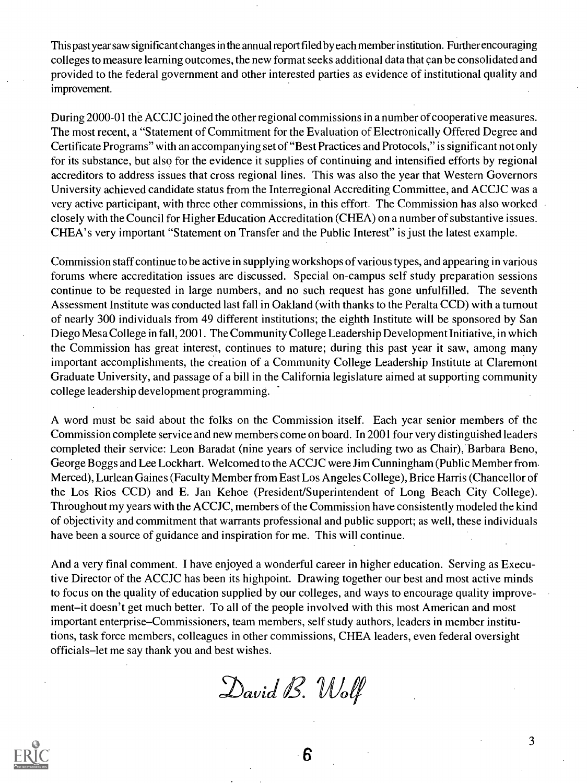This past year saw significant changes in the annual report filed by each member institution. Further encouraging colleges to measure learning outcomes, the new format seeks additional data that can be consolidated and provided to the federal government and other interested parties as evidence of institutional quality and improvement.

During 2000-01 the ACCJC joined the other regional commissions in a number of cooperative measures. The most recent, a "Statement of Commitment for the Evaluation of Electronically Offered Degree and Certificate Programs" with an accompanying set of "Best Practices and Protocols," is significant not only for its substance, but also for the evidence it supplies of continuing and intensified efforts by regional accreditors to address issues that cross regional lines. This was also the year that Western Governors University achieved candidate status from the Interregional Accrediting Committee, and ACCJC was a very active participant, with three other commissions, in this effort. The Commission has also worked closely with the Council for Higher Education Accreditation (CHEA) on a number of substantive issues. CHEA' s very important "Statement on Transfer and the Public Interest" is just the latest example.

Commission staff continue to be active in supplying workshops of various types, and appearing in various forums where accreditation issues are discussed. Special on-campus self study preparation sessions continue to be requested in large numbers, and no such request has gone unfulfilled. The seventh Assessment Institute was conducted last fall in Oakland (with thanks to the Peralta CCD) with a turnout of nearly 300 individuals from 49 different institutions; the eighth Institute will be sponsored by San Diego Mesa College in fall, 2001. The Community College Leadership Development Initiative, in which the Commission has great interest, continues to mature; during this past year it saw, among many important accomplishments, the creation of a Community College Leadership Institute at Claremont Graduate University, and passage of a bill in the California legislature aimed at supporting community college leadership development programming.

A word must be said about the folks on the Commission itself. Each year senior members of the Commission complete service and new members come on board. In 2001 four very distinguished leaders completed their service: Leon Baradat (nine years of service including two as Chair), Barbara Beno, George Boggs and Lee Lockhart. Welcomed to the ACCJC were Jim Cunningham (Public Member from. Merced), Lurlean Gaines (Faculty Member from East Los Angeles College), Brice Harris (Chancellor of the Los Rios CCD) and E. Jan Kehoe (President/Superintendent of Long Beach City College). Throughout my years with the ACCJC, members of the Commission have consistently modeled the kind of objectivity and commitment that warrants professional and public support; as well, these individuals have been a source of guidance and inspiration for me. This will continue.

And a very final comment. I have enjoyed a wonderful career in higher education. Serving as Executive Director of the ACCJC has been its highpoint. Drawing together our best and most active minds to focus on the quality of education supplied by our colleges, and ways to encourage quality improvement-it doesn't get much better. To all of the people involved with this most American and most important enterprise–Commissioners, team members, self study authors, leaders in member institutions, task force members, colleagues in other commissions, CHEA leaders, even federal oversight officials–let me say thank you and best wishes.

David B. Wolf

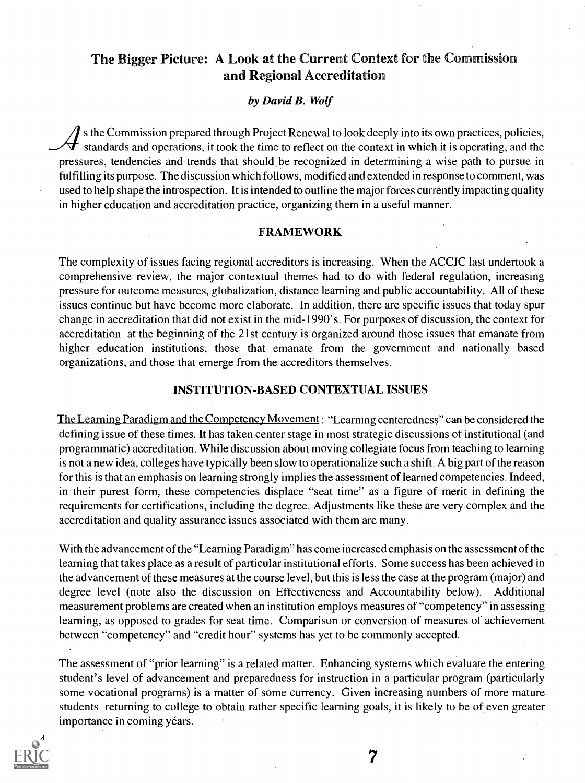# The Bigger Picture: A Look at the Current Context for the Commission and Regional Accreditation

#### by David B. Wolf

s the Commission prepared through Project Renewal to look deeply into its own practices, policies, standards and operations, it took the time to reflect on the context in which it is operating, and the pressures, tendencies and trends that should be recognized in determining a wise path to pursue in fulfilling its purpose. The discussion which follows, modified and extended in response to comment, was used to help shape the introspection. It is intended to outline the major forces currently impacting quality in higher education and accreditation practice, organizing them in a useful manner.

#### FRAMEWORK

The complexity of issues facing regional accreditors is increasing. When the ACCJC last undertook a comprehensive review, the major contextual themes had to do with federal regulation, increasing pressure for outcome measures, globalization, distance learning and public accountability. All of these issues continue but have become more elaborate. In addition, there are specific issues that today spur change in accreditation that did not exist in the mid-1990's. For purposes of discussion, the context for accreditation at the beginning of the 21st century is organized around those issues that emanate from higher education institutions, those that emanate from the government and nationally based organizations, and those that emerge from the accreditors themselves.

#### INSTITUTION-BASED CONTEXTUAL ISSUES

The Learning Paradigm and the Competency Movement: "Learning centeredness" can be considered the defining issue of these times. It has taken center stage in most strategic discussions of institutional (and programmatic) accreditation. While discussion about moving collegiate focus from teaching to learning is not a new idea, colleges have typically been slow to operationalize such a shift. A big part of the reason for this is that an emphasis on learning strongly implies the assessment of learned competencies. Indeed, in their purest form, these competencies displace "seat time" as a figure of merit in defining the requirements for certifications, including the degree. Adjustments like these are very complex and the accreditation and quality assurance issues associated with them are many.

With the advancement of the "Learning Paradigm" has come increased emphasis on the assessment of the learning that takes place as a result of particular institutional efforts. Some success has been achieved in the advancement of these measures at the course level, but this is less the case at the program (major) and degree level (note also the discussion on Effectiveness and Accountability below). Additional measurement problems are created when an institution employs measures of "competency" in assessing learning, as opposed to grades for seat time. Comparison or conversion of measures of achievement between "competency" and "credit hour" systems has yet to be commonly accepted.

The assessment of "prior learning" is a related matter. Enhancing systems which evaluate the entering student's level of advancement and preparedness for instruction in a particular program (particularly some vocational programs) is a matter of some currency. Given increasing numbers of more mature students returning to college to obtain rather specific learning goals, it is likely to be of even greater importance in coming years.

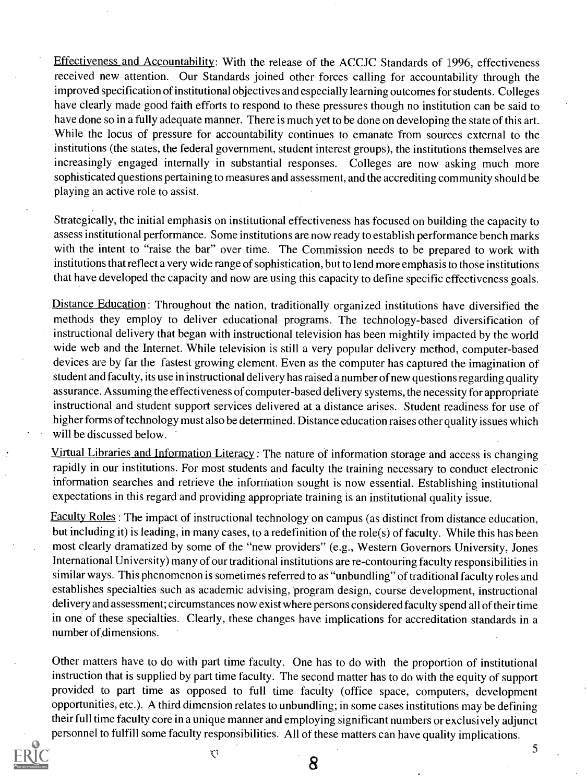Effectiveness and Accountability: With the release of the ACCJC Standards of 1996, effectiveness received new attention. Our Standards joined other forces calling for accountability through the improved specification of institutional objectives and especially learning outcomes for students. Colleges have clearly made good faith efforts to respond to these pressures though no institution can be said to have done so in a fully adequate manner. There is much yet to be done on developing the state of this art. While the locus of pressure for accountability continues to emanate from sources external to the institutions (the states, the federal government, student interest groups), the institutions themselves are increasingly engaged internally in substantial responses. Colleges are now asking much more sophisticated questions pertaining to measures and assessment, and the accrediting community should be playing an active role to assist.

Strategically, the initial emphasis on institutional effectiveness has focused on building the capacity to assess institutional performance. Some institutions are now ready to establish performance bench marks with the intent to "raise the bar" over time. The Commission needs to be prepared to work with institutions that reflect a very wide range of sophistication, but to lend more emphasis to those institutions that have developed the capacity and now are using this capacity to define specific effectiveness goals.

Distance Education: Throughout the nation, traditionally organized institutions have diversified the methods they employ to deliver educational programs. The technology-based diversification of instructional delivery that began with instructional television has been mightily impacted by the world wide web and the Internet. While television is still a very popular delivery method, computer-based devices are by far the fastest growing element. Even as the computer has captured the imagination of student and faculty, its use in instructional delivery has raised a number of new questions regarding quality assurance. Assuming the effectiveness of computer-based delivery systems, the necessity for appropriate instructional and student support services delivered at a distance arises. Student readiness for use of higher forms of technology must also be determined. Distance education raises other quality issues which will be discussed below.

Virtual Libraries and Information Literacy : The nature of information storage and access is changing rapidly in our institutions. For most students and faculty the training necessary to conduct electronic information searches and retrieve the information sought is now essential. Establishing institutional expectations in this regard and providing appropriate training is an institutional quality issue.

Faculty Roles : The impact of instructional technology on campus (as distinct from distance education, but including it) is leading, in many cases, to a redefinition of the role(s) of faculty. While this has been most clearly dramatized by some of the "new providers" (e.g., Western Governors University, Jones International University) many of our traditional institutions are re-contouring faculty responsibilities in similar ways. This phenomenon is sometimes referred to as "unbundling" of traditional faculty roles and establishes specialties such as academic advising, program design, course development, instructional delivery and assessment; circumstances now exist where persons considered faculty spend all of their time in one of these specialties. Clearly, these changes have implications for accreditation standards in a number of dimensions.

Other matters have to do with part time faculty. One has to do with the proportion of institutional instruction that is supplied by part time faculty. The second matter has to do with the equity of support provided to part time as opposed to full time faculty (office space, computers, development opportunities, etc.). A third dimension relates to unbundling; in some cases institutions may be defining their full time faculty core in a unique manner and employing significant numbers or exclusively adjunct personnel to fulfill some faculty responsibilities. All of these matters can have quality implications.



 $\mathcal{C}^2$ 

8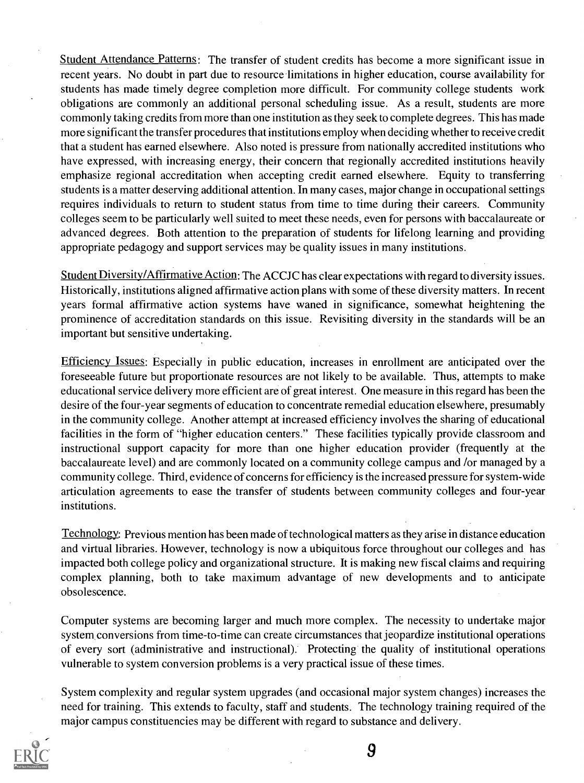Student Attendance Patterns: The transfer of student credits has become a more significant issue in recent years. No doubt in part due to resource limitations in higher education, course availability for students has made timely degree completion more difficult. For community college students work obligations are commonly an additional personal scheduling issue. As a result, students are more commonly taking credits from more than one institution as they seek to complete degrees. This has made more significant the transfer procedures that institutions employ when deciding whether to receive credit that a student has earned elsewhere. Also noted is pressure from nationally accredited institutions who have expressed, with increasing energy, their concern that regionally accredited institutions heavily emphasize regional accreditation when accepting credit earned elsewhere. Equity to transferring students is a matter deserving additional attention. In many cases, major change in occupational settings requires individuals to return to student status from time to time during their careers. Community colleges seem to be particularly well suited to meet these needs, even for persons with baccalaureate or advanced degrees. Both attention to the preparation of students for lifelong learning and providing appropriate pedagogy and support services may be quality issues in many institutions.

Student Diversity/Affirmative Action: The ACCJC has clear expectations with regard to diversity issues. Historically, institutions aligned affirmative action plans with some of these diversity matters. In recent years formal affirmative action systems have waned in significance, somewhat heightening the prominence of accreditation standards on this issue. Revisiting diversity in the standards will be an important but sensitive undertaking.

Efficiency Issues: Especially in public education, increases in enrollment are anticipated over the foreseeable future but proportionate resources are not likely to be available. Thus, attempts to make educational service delivery more efficient are of great interest. One measure in this regard has been the desire of the four-year segments of education to concentrate remedial education elsewhere, presumably in the community college. Another attempt at increased efficiency involves the sharing of educational facilities in the form of "higher education centers." These facilities typically provide classroom and instructional support capacity for more than one higher education provider (frequently at the baccalaureate level) and are commonly located on a community college campus and /or managed by a community college. Third, evidence of concerns for efficiency is the increased pressure for system-wide articulation agreements to ease the transfer of students between community colleges and four-year institutions.

Technology: Previous mention has been made of technological matters as they arise in distance education and virtual libraries. However, technology is now a ubiquitous force throughout our colleges and has impacted both college policy and organizational structure. It is making new fiscal claims and requiring complex planning, both to take maximum advantage of new developments and to anticipate obsolescence.

Computer systems are becoming larger and much more complex. The necessity to undertake major system conversions from time-to-time can create circumstances that jeopardize institutional operations of every sort (administrative and instructional). Protecting the quality of institutional operations vulnerable to system conversion problems is a very practical issue of these times.

System complexity and regular system upgrades (and occasional major system changes) increases the need for training. This extends to faculty, staff and students. The technology training required of the major campus constituencies may be different with regard to substance and delivery.

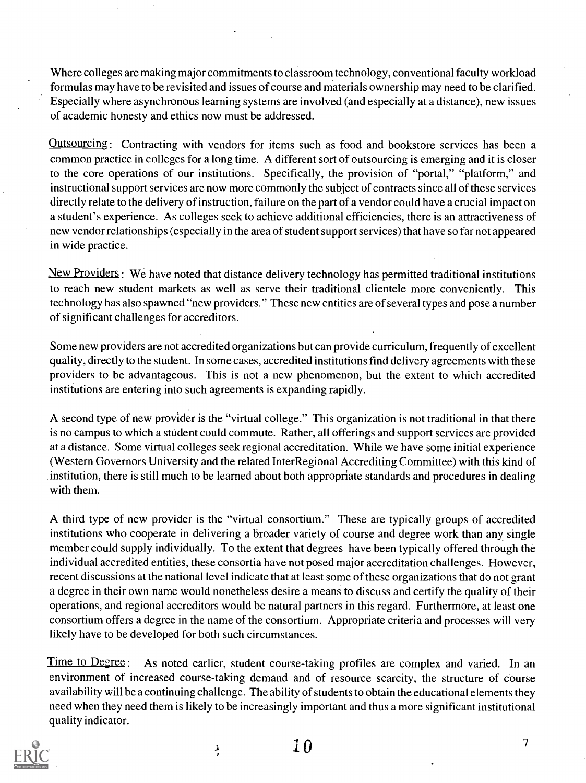Where colleges are making major commitments to classroom technology, conventional faculty workload formulas may have to be revisited and issues of course and materials ownership may need to be clarified. Especially where asynchronous learning systems are involved (and especially at a distance), new issues of academic honesty and ethics now must be addressed.

**Outsourcing:** Contracting with vendors for items such as food and bookstore services has been a common practice in colleges for a long time. A different sort of outsourcing is emerging and it is closer to the core operations of our institutions. Specifically, the provision of "portal," "platform," and instructional support services are now more commonly the subject of contracts since all of these services directly relate to the delivery of instruction, failure on the part of a vendor could have a crucial impact on a student's experience. As colleges seek to achieve additional efficiencies, there is an attractiveness of new vendor relationships (especially in the area of student support services) that have so far not appeared in wide practice.

New Providers: We have noted that distance delivery technology has permitted traditional institutions to reach new student markets as well as serve their traditional clientele more conveniently. This technology has also spawned "new providers." These new entities are of several types and pose a number of significant challenges for accreditors.

Some new providers are not accredited organizations but can provide curriculum, frequently of excellent quality, directly to the student. In some cases, accredited institutions find delivery agreements with these providers to be advantageous. This is not a new phenomenon, but the extent to which accredited institutions are entering into such agreements is expanding rapidly.

A second type of new provider is the "virtual college." This organization is not traditional in that there is no campus to which a student could commute. Rather, all offerings and support services are provided at a distance. Some virtual colleges seek regional accreditation. While we have some initial experience (Western Governors University and the related InterRegional Accrediting Committee) with this kind of institution, there is still much to be learned about both appropriate standards and procedures in dealing with them.

A third type of new provider is the "virtual consortium." These are typically groups of accredited institutions who cooperate in delivering a broader variety of course and degree work than any single member could supply individually. To the extent that degrees have been typically offered through the individual accredited entities, these consortia have not posed major accreditation challenges. However, recent discussions at the national level indicate that at least some of these organizations that do not grant a degree in their own name would nonetheless desire a means to discuss and certify the quality of their operations, and regional accreditors would be natural partners in this regard. Furthermore, at least one consortium offers a degree in the name of the consortium. Appropriate criteria and processes will very likely have to be developed for both such circumstances.

Time to Degree: As noted earlier, student course-taking profiles are complex and varied. In an environment of increased course-taking demand and of resource scarcity, the structure of course availability will be a continuing challenge. The ability of students to obtain the educational elements they need when they need them is likely to be increasingly important and thus a more significant institutional quality indicator.



ڔ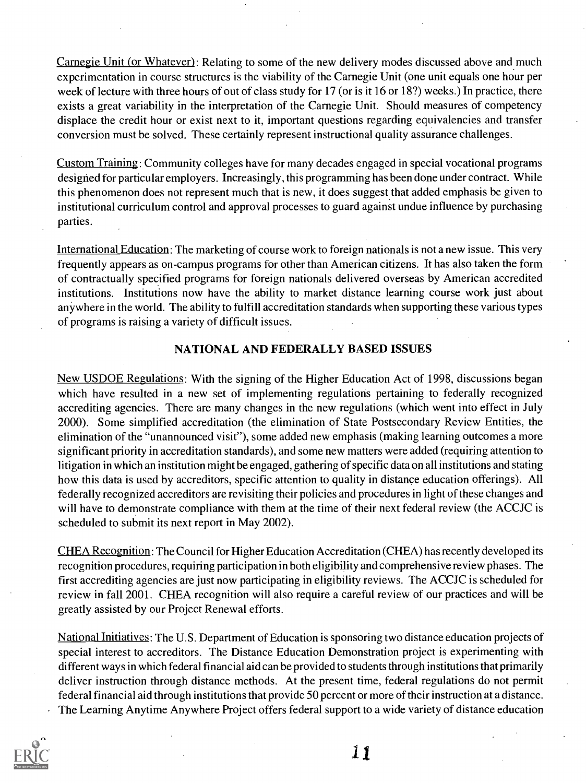Carnegie Unit (or Whatever): Relating to some of the new delivery modes discussed above and much experimentation in course structures is the viability of the Carnegie Unit (one unit equals one hour per week of lecture with three hours of out of class study for 17 (or is it 16 or 18?) weeks.) In practice, there exists a great variability in the interpretation of the Carnegie Unit. Should measures of competency displace the credit hour or exist next to it, important questions regarding equivalencies and transfer conversion must be solved. These certainly represent instructional quality assurance challenges.

Custom Training. Community colleges have for many decades engaged in special vocational programs designed for particular employers. Increasingly, this programming has been done under contract. While this phenomenon does not represent much that is new, it does suggest that added emphasis be given to institutional curriculum control and approval processes to guard against undue influence by purchasing parties.

International Education: The marketing of course work to foreign nationals is not a new issue. This very frequently appears as on-campus programs for other than American citizens. It has also taken the form of contractually specified programs for foreign nationals delivered overseas by American accredited institutions. Institutions now have the ability to market distance learning course work just about anywhere in the world. The ability to fulfill accreditation standards when supporting these various types of programs is raising a variety of difficult issues.

#### NATIONAL AND FEDERALLY BASED ISSUES

New USDOE Regulations: With the signing of the Higher Education Act of 1998, discussions began which have resulted in a new set of implementing regulations pertaining to federally recognized accrediting agencies. There are many changes in the new regulations (which went into effect in July 2000). Some simplified accreditation (the elimination of State Postsecondary Review Entities, the elimination of the "unannounced visit"), some added new emphasis (making learning outcomes a more significant priority in accreditation standards), and some new matters were added (requiring attention to litigation in which an institution might be engaged, gathering of specific data on all institutions and stating how this data is used by accreditors, specific attention to quality in distance education offerings). All federally recognized accreditors are revisiting their policies and procedures in light of these changes and will have to demonstrate compliance with them at the time of their next federal review (the ACCJC is scheduled to submit its next report in May 2002).

CHEA Recognition: The Council for Higher Education Accreditation (CHEA) has recently developed its recognition procedures, requiring participation in both eligibility and comprehensive review phases. The first accrediting agencies are just now participating in eligibility reviews. The ACCJC is scheduled for review in fall 2001. CHEA recognition will also require a careful review of our practices and will be greatly assisted by our Project Renewal efforts.

National Initiatives: The U.S. Department of Education is sponsoring two distance education projects of special interest to accreditors. The Distance Education Demonstration project is experimenting with different ways in which federal financial aid can be provided to students through institutions that primarily deliver instruction through distance methods. At the present time, federal regulations do not permit federal financial aid through institutions that provide 50 percent or more of their instruction at a distance. The Learning Anytime Anywhere Project offers federal support to a wide variety of distance education

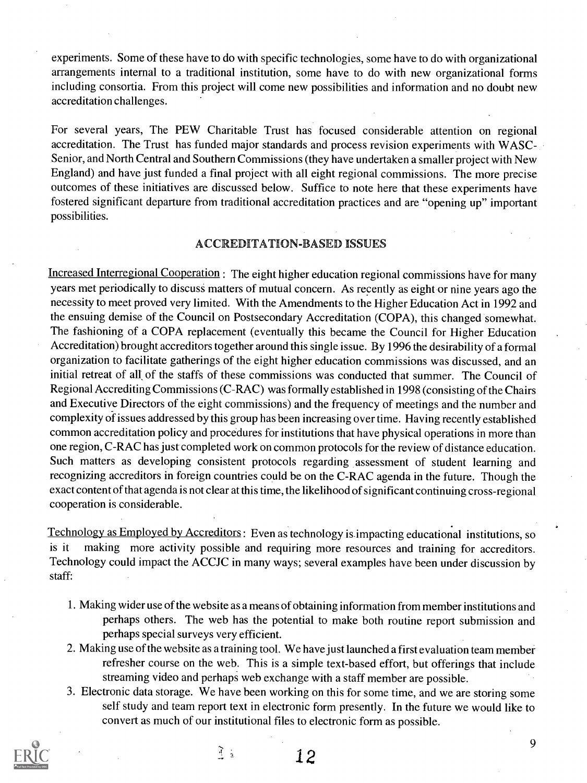experiments. Some of these have to do with specific technologies, some have to do with organizational arrangements internal to a traditional institution, some have to do with new organizational forms including consortia. From this project will come new possibilities and information and no doubt new accreditation challenges.

For several years, The PEW Charitable Trust has focused considerable attention on regional accreditation. The Trust has funded major standards and process revision experiments with WASC-Senior, and North Central and Southern Commissions (they have undertaken a smaller project with New England) and have just funded a final project with all eight regional commissions. The more precise outcomes of these initiatives are discussed below. Suffice to note here that these experiments have fostered significant departure from traditional accreditation practices and are "opening up" important possibilities.

#### ACC EDITATION-BASED ISSUES

Increased Interregional Cooperation : The eight higher education regional commissions have for many years met periodically to discuss matters of mutual concern. As recently as eight or nine years ago the necessity to meet proved very limited. With the Amendments to the Higher Education Act in 1992 and the ensuing demise of the Council on Postsecondary Accreditation (COPA), this changed somewhat. The fashioning of a COPA replacement (eventually this became the Council for Higher Education Accreditation) brought accreditors together around this single issue. By 1996 the desirability of a formal organization to facilitate gatherings of the eight higher education commissions was discussed, and an initial retreat of all of the staffs of these commissions was conducted that summer. The Council of Regional Accrediting Commissions (C-RAC) was formally established in 1998 (consisting of the Chairs and Executive Directors of the eight commissions) and the frequency of meetings and the number and complexity of issues addressed by this group has been increasing over time. Having recently established common accreditation policy and procedures for institutions that have physical operations in more than one region, C-RAC has just completed work on common protocols for the review of distance education. Such matters as developing consistent protocols regarding assessment of student learning and recognizing accreditors in foreign countries could be on the C-RAC agenda in the future. Though the exact content of that agenda is not clear at this time, the likelihood of significant continuing cross-regional cooperation is considerable.

Technology as Employed by Accreditors: Even as technology is impacting educational institutions, so is it making more activity possible and requiring more resources and training for accreditors. Technology could impact the ACCJC in many ways; several examples have been under discussion by staff:

- 1. Making wider use of the website as a means of obtaining information from member institutions and perhaps others. The web has the potential to make both routine report submission and perhaps special surveys very efficient.
- 2. Making use of the website as a training tool. We have just launched a first evaluation team member refresher course on the web. This is a simple text-based effort, but offerings that include streaming video and perhaps web exchange with a staff member are possible.
- 3. Electronic data storage. We have been working on this for some time, and we are storing some self study and team report text in electronic form presently. In the future we would like to convert as much of our institutional files to electronic form as possible.

 $\mathfrak{F}_{\mathfrak{p}}$ 

1 2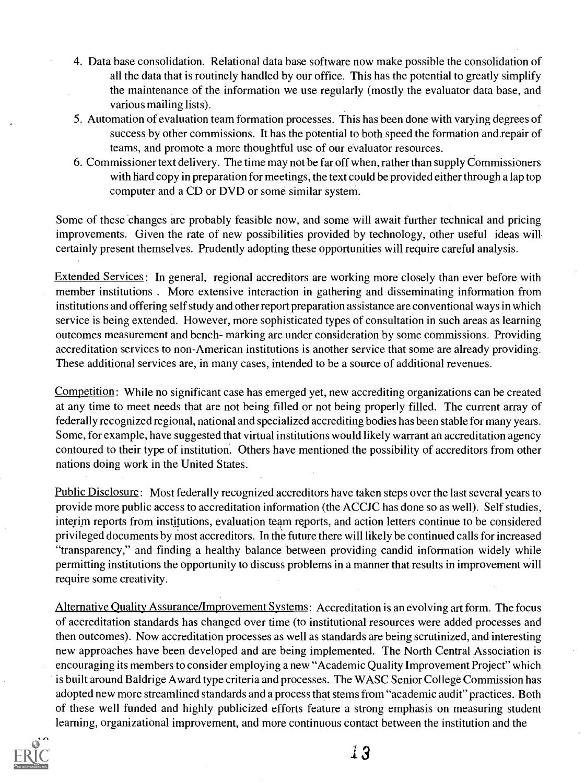- 4. Data base consolidation. Relational data base software now make possible the consolidation of all the data that is routinely handled by our office. This has the potential to greatly simplify the maintenance of the information we use regularly (mostly the evaluator data base, and various mailing lists).
- 5. Automation of evaluation team formation processes. This has been done with varying degrees of success by other commissions. It has the potential to both speed the formation and repair of teams, and promote a more thoughtful use of our evaluator resources.
- 6. Commissioner text delivery. The time may not be far off when, rather than supply Commissioners with hard copy in preparation for meetings, the text could be provided either through a lap top computer and a CD or DVD or some similar system.

Some of these changes are probably feasible now, and some will await further technical and pricing improvements. Given the rate of new possibilities provided by technology, other useful ideas will certainly present themselves. Prudently adopting these opportunities will require careful analysis.

Extended Services: In general, regional accreditors are working more closely than ever before with member institutions . More extensive interaction in gathering and disseminating information from institutions and offering self study and other report preparation assistance are conventional ways in which service is being extended. However, more sophisticated types of consultation in such areas as learning outcomes measurement and bench- marking are under consideration by some commissions. Providing accreditation services to non-American institutions is another service that some are already providing. These additional services are, in many cases, intended to be a source of additional revenues.

Competition: While no significant case has emerged yet, new accrediting organizations can be created at any time to meet needs that are not being filled or not being properly filled. The current array of federally recognized regional, national and specialized accrediting bodies has been stable for many years. Some, for example, have suggested that virtual institutions would likely warrant an accreditation agency contoured to their type of institution. Others have mentioned the possibility of accreditors from other nations doing work in the United States.

Public Disclosure: Most federally recognized accreditors have taken steps over the last several years to provide more public access to accreditation information (the ACCJC has done so as well). Self studies, interim reports from institutions, evaluation team reports, and action letters continue to be considered privileged documents by most accreditors. In the future there will likely be continued calls for increased "transparency," and finding a healthy balance between providing candid information widely while permitting institutions the opportunity to discuss problems in a manner that results in improvement will require some creativity.

Alternative Quality Assurance/Improvement Systems: Accreditation is an evolving art form. The focus of accreditation standards has changed over time (to institutional resources were added processes and then outcomes). Now accreditation processes as well as standards are being scrutinized, and interesting new approaches have been developed and are being implemented. The North Central Association is encouraging its members to consider employing a new "Academic Quality Improvement Project" which is built around Baldrige Award type criteria and processes. The WASC Senior College Commission has adopted new more streamlined standards and a process that stems from "academic audit" practices. Both of these well funded and highly publicized efforts feature a strong emphasis on measuring student learning, organizational improvement, and more continuous contact between the institution and the



] R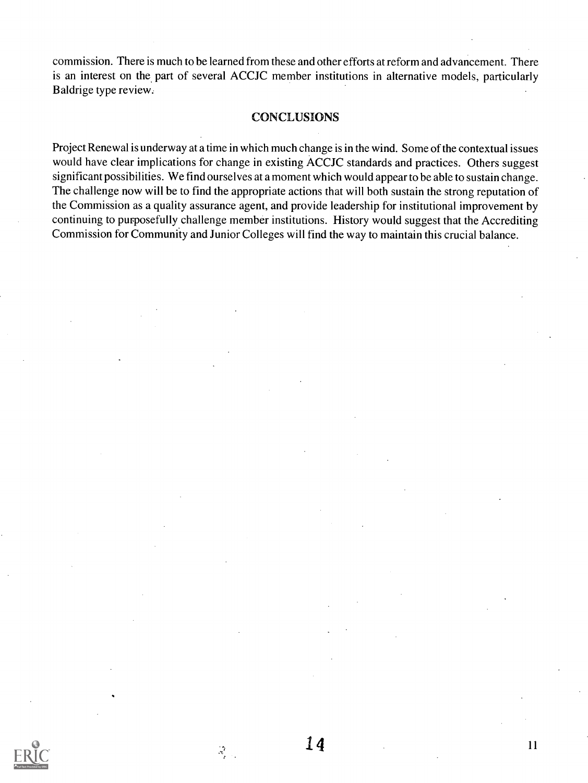commission. There is much to be learned from these and other efforts at reform and advancement. There is an interest on the part of several ACCJC member institutions in alternative models, particularly Baldrige type review.

#### CONCLUSIONS

Project Renewal is underway at a time in which much change is in the wind. Some of the contextual issues would have clear implications for change in existing ACCJC standards and practices. Others suggest significant possibilities. We find ourselves at a moment which would appear to be able to sustain change. The challenge now will be to find the appropriate actions that will both sustain the strong reputation of the Commission as a quality assurance agent, and provide leadership for institutional improvement by continuing to purposefully challenge member institutions. History would suggest that the Accrediting Commission for Community and Junior Colleges will find the way to maintain this crucial balance.



 $\mathcal{R}^{\mathcal{T}}_{\mathcal{A}}$  .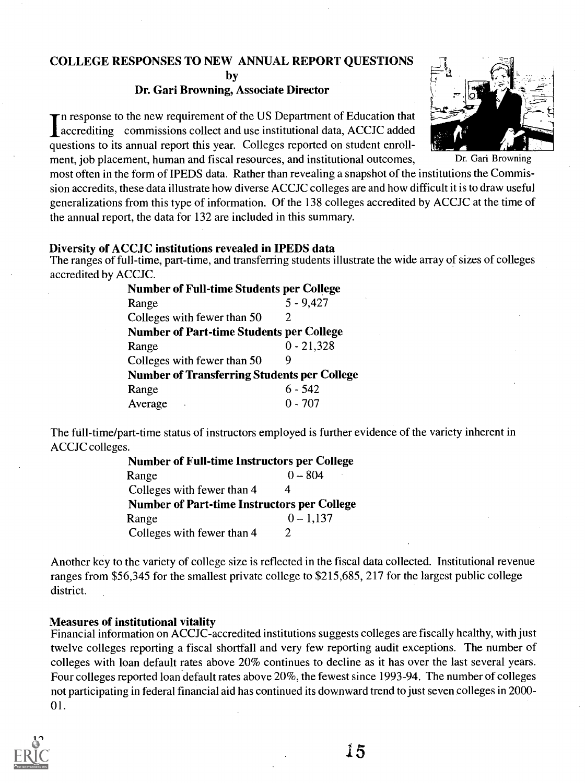# COLLEGE RESPONSES TO NEW ANNUAL REPORT QUESTIONS

by

## Dr. Gari Browning, Associate Director

In response to the new requirement of the US Department of Education that<br>accrediting commissions collect and use institutional data, ACCJC added<br>methods in the sumplement this was Collectes reported on student annul n response to the new requirement of the US Department of Education that questions to its annual report this year. Colleges reported on student enrollment, job placement, human and fiscal resources, and institutional outcomes, Dr. Gari Browning

most often in the form of IPEDS data. Rather than revealing a snapshot of the institutions the Commission accredits, these data illustrate how diverse ACCJC colleges are and how difficult it is to draw useful generalizations from this type of information. Of the 138 colleges accredited by ACCJC at the time of the annual report, the data for 132 are included in this summary.

## Diversity of ACCJC institutions revealed in IPEDS data

The ranges of full-time, part-time, and transferring students illustrate the wide array of sizes of colleges accredited by ACCJC.

| <b>Number of Full-time Students per College</b>    |              |  |  |  |  |
|----------------------------------------------------|--------------|--|--|--|--|
| Range                                              | $5 - 9,427$  |  |  |  |  |
| Colleges with fewer than 50                        | 2.           |  |  |  |  |
| <b>Number of Part-time Students per College</b>    |              |  |  |  |  |
| Range                                              | $0 - 21,328$ |  |  |  |  |
| Colleges with fewer than 50                        | g            |  |  |  |  |
| <b>Number of Transferring Students per College</b> |              |  |  |  |  |
| Range                                              | $6 - 542$    |  |  |  |  |
| Average                                            | 0 - 707      |  |  |  |  |

The full-time/part-time status of instructors employed is further evidence of the variety inherent in ACCJC colleges.

| <b>Number of Full-time Instructors per College</b> |             |
|----------------------------------------------------|-------------|
| Range                                              | $0 - 804$   |
| Colleges with fewer than 4                         |             |
| <b>Number of Part-time Instructors per College</b> |             |
| Range                                              | $0 - 1.137$ |
| Colleges with fewer than 4                         |             |

Another key to the variety of college size is reflected in the fiscal data collected. Institutional revenue ranges from \$56,345 for the smallest private college to \$215,685, 217 for the largest public college district.

# Measures of institutional vitality

Financial information on ACCJC-accredited institutions suggests colleges are fiscally healthy, with just twelve colleges reporting a fiscal shortfall and very few reporting audit exceptions. The number of colleges with loan default rates above 20% continues to decline as it has over the last several years. Four colleges reported loan default rates above 20%, the fewest since 1993-94. The number of colleges not participating in federal financial aid has continued its downward trend to just seven colleges in 2000- 01.

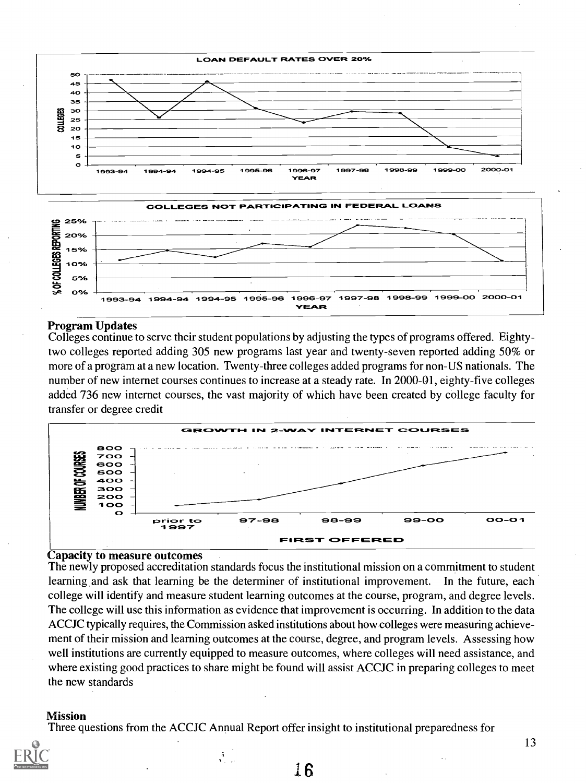

#### Program Updates

Colleges continue to serve their student populations by adjusting the types of programs offered. Eightytwo colleges reported adding 305 new programs last year and twenty-seven reported adding 50% or more of a program at a new location. Twenty-three colleges added programs for non-US nationals. The number of new internet courses continues to increase at a steady rate. In 2000-01, eighty-five colleges added 736 new internet courses, the vast majority of which have been created by college faculty for transfer or degree credit



#### Capacity to measure outcomes

The newly proposed accreditation standards focus the institutional mission on a commitment to student learning and ask that learning be the determiner of institutional improvement. In the future, each college will identify and measure student learning outcomes at the course, program, and degree levels. The college will use this information as evidence that improvement is occurring. In addition to the data ACCJC typically requires, the Commission asked institutions about how colleges were measuring achievement of their mission and learning outcomes at the course, degree, and program levels. Assessing how well institutions are currently equipped to measure outcomes, where colleges will need assistance, and where existing good practices to share might be found will assist ACCJC in preparing colleges to meet the new standards

#### Mission

Three questions from the ACCJC Annual Report offer insight to institutional preparedness for

 $\frac{1}{2}$  .

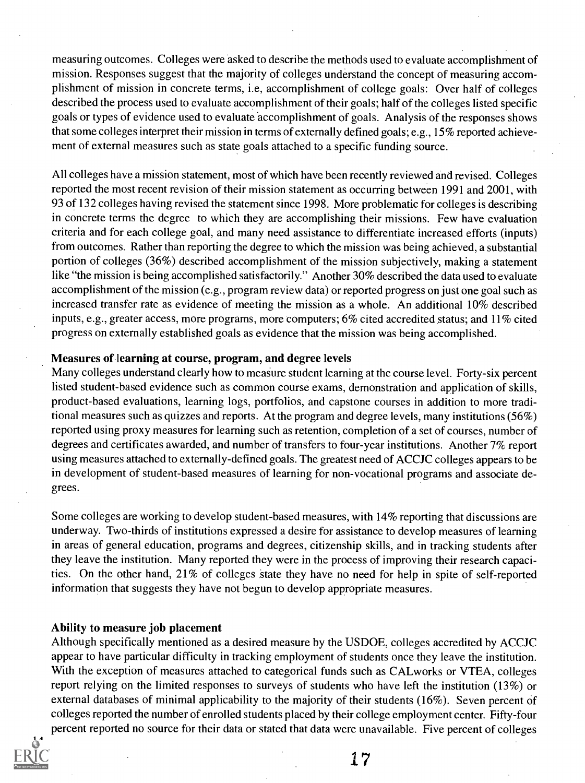measuring outcomes. Colleges were asked to describe the methods used to evaluate accomplishment of mission. Responses suggest that the majority of colleges understand the concept of measuring accomplishment of mission in concrete terms, i.e, accomplishment of college goals: Over half of colleges described the process used to evaluate accomplishment of their goals; half of the colleges listed specific goals or types of evidence used to evaluate accomplishment of goals. Analysis of the responses shows that some colleges interpret their mission in terms of externally defined goals; e.g., 15% reported achievement of external measures such as state goals attached to a specific funding source.

All colleges have a mission statement, most of which have been recently reviewed and revised. Colleges reported the most recent revision of their mission statement as occurring between 1991 and 2001, with 93 of 132 colleges having revised the statement since 1998. More problematic for colleges is describing in concrete terms the degree to which they are accomplishing their missions. Few have evaluation criteria and for each college goal, and many need assistance to differentiate increased efforts (inputs) from outcomes. Rather than reporting the degree to which the mission was being achieved, a substantial portion of colleges (36%) described accomplishment of the mission subjectively, making a statement like "the mission is being accomplished satisfactorily." Another 30% described the data used to evaluate accomplishment of the mission (e.g., program review data) or reported progress on just one goal such as increased transfer rate as evidence of meeting the mission as a whole. An additional 10% described inputs, e.g., greater access, more programs, more computers; 6% cited accredited status; and 11% cited progress on externally established goals as evidence that the mission was being accomplished.

#### Measures of-learning at course, program, and degree levels

Many colleges understand clearly how to measure student learning at the course level. Forty-six percent listed student-based evidence such as common course exams, demonstration and application of skills, product-based evaluations, learning logs, portfolios, and capstone courses in addition to more traditional measures such as quizzes and reports. At the program and degree levels, many institutions (56%) reported using proxy measures for learning such as retention, completion of a set of courses, number of degrees and certificates awarded, and number of transfers to four-year institutions. Another 7% report using measures attached to externally-defined goals. The greatest need of ACCJC colleges appears to be in development of student-based measures of learning for non-vocational programs and associate degrees.

Some colleges are working to develop student-based measures, with 14% reporting that discussions are underway. Two-thirds of institutions expressed a desire for assistance to develop measures of learning in areas of general education, programs and degrees, citizenship skills, and in tracking students after they leave the institution. Many reported they were in the process of improving their research capacities. On the other hand, 21% of colleges state they have no need for help in spite of self-reported information that suggests they have not begun to develop appropriate measures.

#### Ability to measure job placement

Although specifically mentioned as a desired measure by the USDOE, colleges accredited by ACCJC appear to have particular difficulty in tracking employment of students once they leave the institution. With the exception of measures attached to categorical funds such as CALworks or VTEA, colleges report relying on the limited responses to surveys of students who have left the institution (13%) or external databases of minimal applicability to the majority of their students (16%). Seven percent of colleges reported the number of enrolled students placed by their college employment center. Fifty-four percent reported no source for their data or stated that data were unavailable. Five percent of colleges

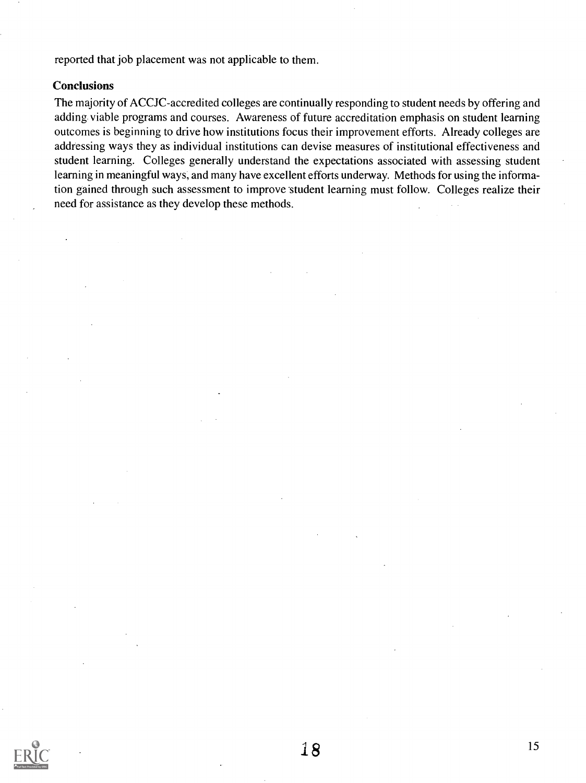reported that job placement was not applicable to them.

#### **Conclusions**

The majority of ACCJC-accredited colleges are continually responding to student needs by offering and adding viable programs and courses. Awareness of future accreditation emphasis on student learning outcomes is beginning to drive how institutions focus their improvement efforts. Already colleges are addressing ways they as individual institutions can devise measures of institutional effectiveness and student learning. Colleges generally understand the expectations associated with assessing student learning in meaningful ways, and many have excellent efforts underway. Methods for using the information gained through such assessment to improve student learning must follow. Colleges realize their need for assistance as they develop these methods.

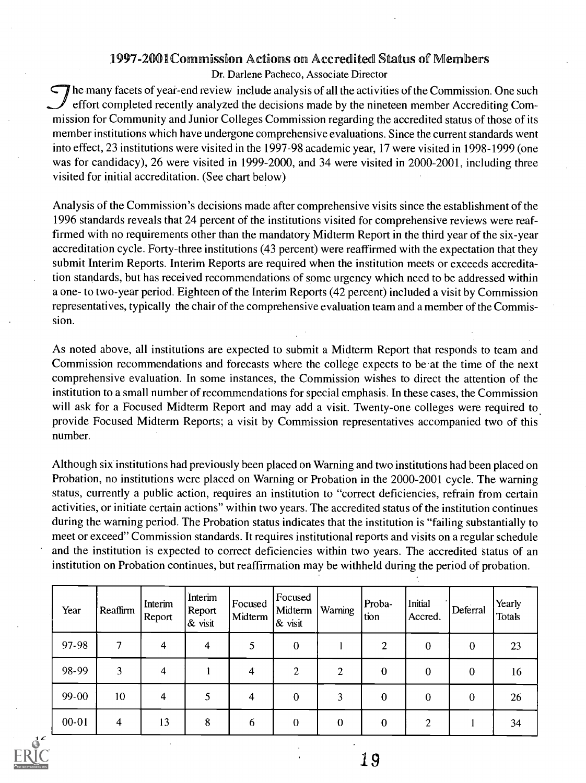# 1997-2001Commission Actions on Accredited Status of Members

Dr. Darlene Pacheco, Associate Director

 $\Box$  he many facets of year-end review include analysis of all the activities of the Commission. One such effort completed recently analyzed the decisions made by the nineteen member Accrediting Commission for Community and Junior Colleges Commission regarding the accredited status of those of its member institutions which have undergone comprehensive evaluations. Since the current standards went into effect, 23 institutions were visited in the 1997-98 academic year, 17 were visited in 1998-1999 (one was for candidacy), 26 were visited in 1999-2000, and 34 were visited in 2000-2001, including three visited for initial accreditation. (See chart below)

Analysis of the Commission's decisions made after comprehensive visits since the establishment of the 1996 standards reveals that 24 percent of the institutions visited for comprehensive reviews were reaffirmed with no requirements other than the mandatory Midterm Report in the third year of the six-year accreditation cycle. Forty-three institutions (43 percent) were reaffirmed with the expectation that they submit Interim Reports. Interim Reports are required when the institution meets or exceeds accreditation standards, but has received recommendations of some urgency which need to be addressed within a one- to two-year period. Eighteen of the Interim Reports (42 percent) included a visit by Commission representatives, typically the chair of the comprehensive evaluation team and a member of the Commission.

As noted above, all institutions are expected to submit a Midterm Report that responds to team and Commission recommendations and forecasts where the college expects to be at the time of the next comprehensive evaluation. In some instances, the Commission wishes to direct the attention of the institution to a small number of recommendations for special emphasis. In these cases, the Commission will ask for a Focused Midterm Report and may add a visit. Twenty-one colleges were required to provide Focused Midterm Reports; a visit by Commission representatives accompanied two of this number.

Although six institutions had previously been placed on Warning and two institutions had been placed on Probation, no institutions were placed on Warning or Probation in the 2000-2001 cycle. The warning status, currently a public action, requires an institution to "correct deficiencies, refrain from certain activities, or initiate certain actions" within two years. The accredited status of the institution continues during the warning period. The Probation status indicates that the institution is "failing substantially to meet or exceed" Commission standards. It requires institutional reports and visits on a regular schedule and the institution is expected to correct deficiencies within two years. The accredited status of an institution on Probation continues, but reaffirmation may be withheld during the period of probation.

| Year      | Reaffirm | Interim<br>Report | Interim<br>Report<br>$\alpha$ visit | Focused<br>Midterm | Focused<br>Midterm<br>$\&$ visit | Warning        | Proba-<br>tion | Initial<br>Accred. | Deferral         | Yearly<br><b>Totals</b> |
|-----------|----------|-------------------|-------------------------------------|--------------------|----------------------------------|----------------|----------------|--------------------|------------------|-------------------------|
| 97-98     |          | 4                 | 4                                   | 5                  | $\bf{0}$                         |                | $\overline{2}$ | 0                  | $\bf{0}$         | 23                      |
| 98-99     | 3        | 4                 |                                     | 4                  | 2                                | $\overline{2}$ | $\bf{0}$       | 0                  | $\bf{0}$         | 16                      |
| 99-00     | 10       | 4                 |                                     | 4                  | $\bf{0}$                         | 3              | 0              | 0                  | $\boldsymbol{0}$ | 26                      |
| $00 - 01$ | 4        | 13                | 8                                   | 6                  | $\boldsymbol{0}$                 | $\bf{0}$       | $\theta$       | $\gamma$           |                  | 34                      |

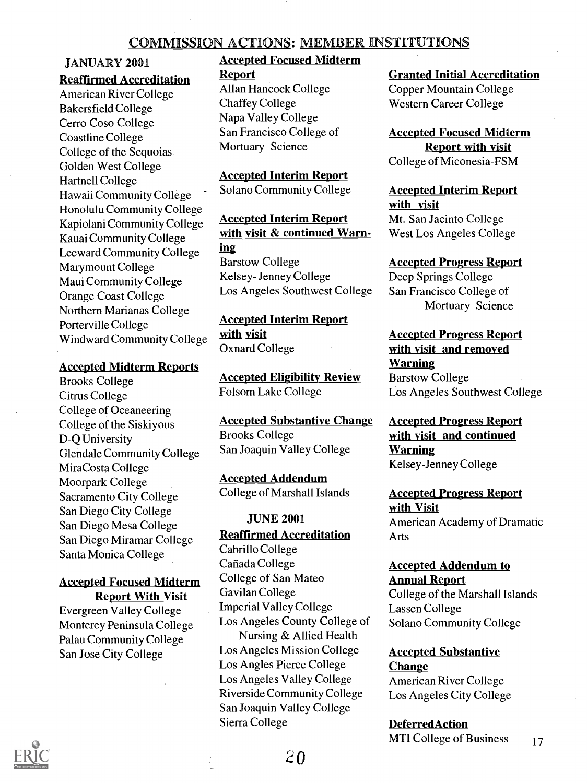# <u>COMMISSION ACTIONS: MEMBER INSTITUTIONS</u>

### JANUARY 2001

# Reaffirmed Accreditation Report

American River College Bakersfield College Cerro Coso College Coastline College College of the Sequoias Golden West College Hartnell College Hawaii Community College Honolulu Community College Kapiolani Community College Kauai Community College Leeward Community College Marymount College Maui Community College Orange Coast College Northern Marianas College Porterville College Windward Community College

#### Accepted Midterm Reports

Brooks College Citrus College College of Oceaneering College of the Siskiyous D-Q University Glendale Community College Mira Costa College Moorpark College Sacramento City College San Diego City College San Diego Mesa College San Diego Miramar College Santa Monica College

### Accepted Focused Midterm Report With Visit

Evergreen Valley College Monterey Peninsula College Palau Community College San Jose City College

# **Accepted Focused Midterm**

Allan Hancock College Chaffey College Napa Valley College San Francisco College of Mortuary Science

Accepted Interim Report Solano Community College

Accepted Interim Report with visit & continued Warning Barstow College Kelsey- Jenney College Los Angeles Southwest College

Accepted Interim Report with visit Oxnard College

Accepted Eligibility Review Folsom Lake College

Accepted Substantive Change Brooks College San Joaquin Valley College

Accepted Addendum College of Marshall Islands

#### JUNE 2001

Reaffirmed Accreditation

Cabrillo College Cañada College College of San Mateo Gavilan College Imperial Valley College Los Angeles County College of Nursing & Allied Health Los Angeles Mission College Los Angles Pierce College Los Angeles Valley College Riverside Community College San Joaquin Valley College Sierra College

# Granted Initial Accreditation

Copper Mountain College Western Career College

Accepted Focused Midterm Report with visit College of Miconesia-FSM

# Accepted Interim Report with visit

Mt. San Jacinto College West Los Angeles College

Accepted Progress Report Deep Springs College San Francisco College of Mortuary Science

Accepted Progress Report with visit and removed **Warning** Barstow College Los Angeles Southwest College

Accepted Progress Report with visit and continued Warning Kelsey-Jenney College

Accepted Progress Report with Visit American Academy of Dramatic Arts

# Accepted Addendum to Annual Report

College of the Marshall Islands Lassen College Solano Community College

Accepted Substantive **Change** American River College

Los Angeles City College

DeferredAction MTI College of Business 17

 $\boldsymbol{0}$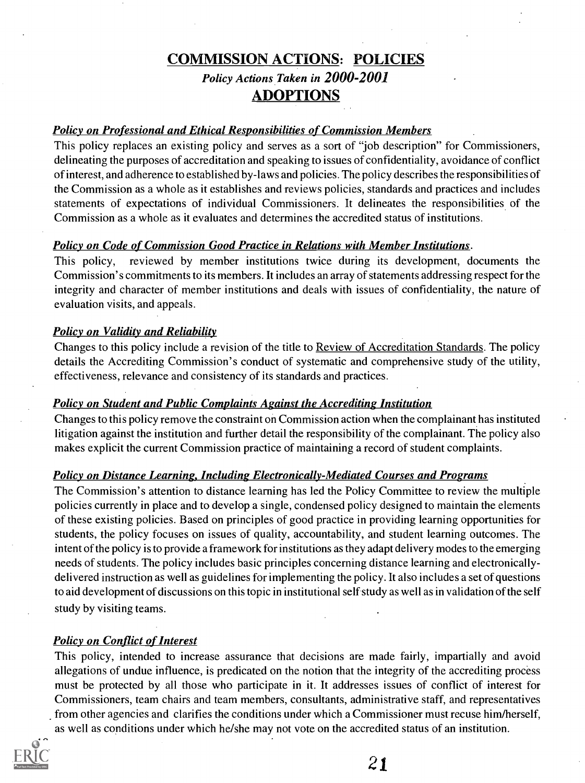# COMMISSION ACTIONS: POLICIES Policy Actions Taken in 2000-2001 ADOPTIONS

## Policy on Professional and Ethical Responsibilities of Commission Members

This policy replaces an existing policy and serves as a sort of "job description" for Commissioners, delineating the purposes of accreditation and speaking to issues of confidentiality, avoidance of conflict of interest, and adherence to established by-laws and policies. The policy describes the responsibilities of the Commission as a whole as it establishes and reviews policies, standards and practices and includes statements of expectations of individual Commissioners. It delineates the responsibilities of the Commission as a whole as it evaluates and determines the accredited status of institutions.

## Policy on Code of Commission Good Practice in Relations with Member Institutions.

This policy, reviewed by member institutions twice during its development, documents the Commission's commitments to its members. It includes an array of statements addressing respect for the integrity and character of member institutions and deals with issues of confidentiality, the nature of evaluation visits, and appeals.

# **Policy on Validity and Reliability**

Changes to this policy include a revision of the title to Review of Accreditation Standards. The policy details the Accrediting Commission's conduct of systematic and comprehensive study of the utility, effectiveness, relevance and consistency of its standards and practices.

## Policy on Student and Public Complaints Against the Accrediting Institution

Changes to this policy remove the constraint on Commission action when the complainant has instituted litigation against the institution and further detail the responsibility of the complainant. The policy also makes explicit the current Commission practice of maintaining a record of student complaints.

## Policy on Distance Learning, Including Electronically-Mediated Courses and Programs

The Commission's attention to distance learning has led the Policy Committee to review the multiple policies currently in place and to develop a single, condensed policy designed to maintain the elements of these existing policies. Based on principles of good practice in providing learning opportunities for students, the policy focuses on issues of quality, accountability, and student learning outcomes. The intent of the policy is to provide a framework for institutions as they adapt delivery modes to the emerging needs of students. The policy includes basic principles concerning distance learning and electronicallydelivered instruction as well as guidelines for implementing the policy. It also includes a set of questions to aid development of discussions on this topic in institutional self study as well as in validation of the self study by visiting teams.

## Policy on Conflict of Interest

This policy, intended to increase assurance that decisions are made fairly, impartially and avoid allegations of undue influence, is predicated on the notion that the integrity of the accrediting process must be protected by all those who participate in it. It addresses issues of conflict of interest for Commissioners, team chairs and team members, consultants, administrative staff, and representatives from other agencies and clarifies the conditions under which a Commissioner must recuse him/herself, as well as conditions under which he/she may not vote on the accredited status of an institution.

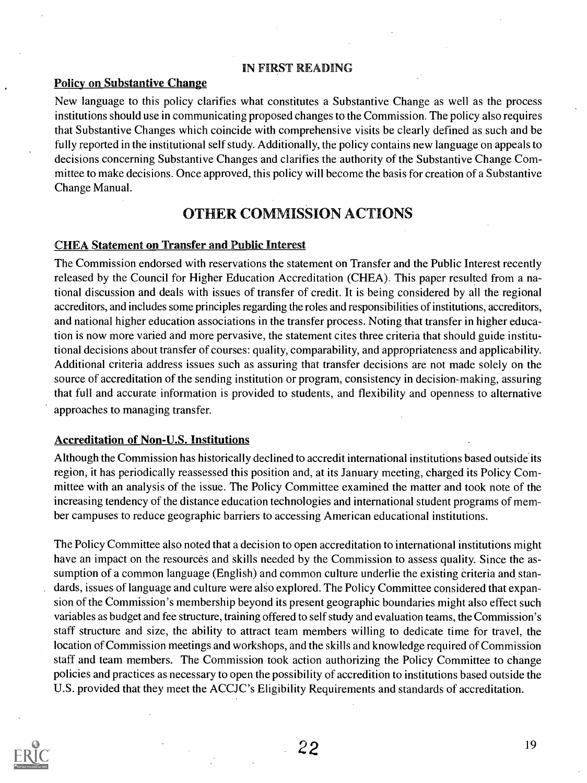#### IN FIRST READING

#### Policy on Substantive Change

New language to this policy clarifies what constitutes a Substantive Change as well as the process institutions should use in communicating proposed changes to the Commission. The policy also requires that Substantive Changes which coincide with comprehensive visits be clearly defined as such and be fully reported in the institutional self study. Additionally, the policy contains new language on appeals to decisions concerning Substantive Changes and clarifies the authority of the Substantive Change Committee to make decisions. Once approved, this policy will become the basis for creation of a Substantive Change Manual.

# OTHER COMMISSION ACTIONS

#### CHEA Statement on Transfer and Public Interest

The Commission endorsed with reservations the statement on Transfer and the Public Interest recently released by the Council for Higher Education Accreditation (CHEA). This paper resulted from a national discussion and deals with issues of transfer of credit. It is being considered by all the regional accreditors, and includes some principles regarding the roles and responsibilities of institutions, accreditors, and national higher education associations in the transfer process. Noting that transfer in higher education is now more varied and more pervasive, the statement cites three criteria that should guide institutional decisions about transfer of courses: quality, comparability, and appropriateness and applicability. Additional criteria address issues such as assuring that transfer decisions are not made solely on the source of accreditation of the sending institution or program, consistency in decision-making, assuring that full and accurate information is provided to students, and flexibility and openness to alternative approaches to managing transfer.

#### Accreditation of Non-U.S. Institutions

Although the Commission has historically declined to accredit international institutions based outside its region, it has periodically reassessed this position and, at its January meeting, charged its Policy Committee with an analysis of the issue. The Policy Committee examined the matter and took note of the increasing tendency of the distance education technologies and international student programs of member campuses to reduce geographic barriers to accessing American educational institutions.

The Policy Committee also noted that a decision to open accreditation to international institutions might have an impact on the resources and skills needed by the Commission to assess quality. Since the assumption of a common language (English) and common culture underlie the existing criteria and standards, issues of language and culture were also explored. The Policy Committee considered that expansion of the Commission's membership beyond its present geographic boundaries might also effect such variables as budget and fee structure, training offered to self study and evaluation teams, the Commission's staff structure and size, the ability to attract team members willing to dedicate time for travel, the location of Commission meetings and workshops, and the skills and knowledge required of Commission staff and team members. The Commission took action authorizing the Policy Committee to change policies and practices as necessary to open the possibility of accredition to institutions based outside the U.S. provided that they meet the ACCJC's Eligibility Requirements and standards of accreditation.

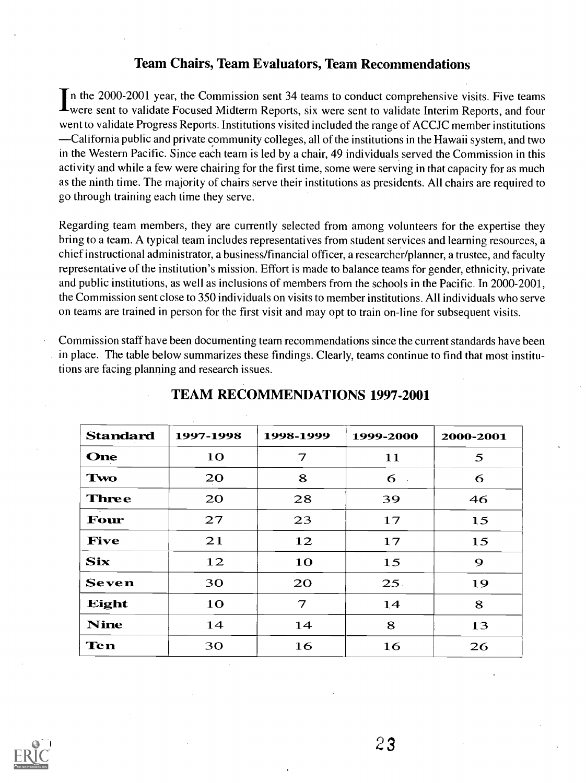# Team Chairs, Team Evaluators, Team Recommendations

In the 2000-2001 year, the Commission sent 34 teams to conduct comprehensive visits. Five teams **L**were sent to validate Focused Midterm Reports, six were sent to validate Interim Reports, and four went to validate Progress Reports. Institutions visited included the range of ACCJC member institutions California public and private community colleges, all of the institutions in the Hawaii system, and two in the Western Pacific. Since each team is led by a chair, 49 individuals served the Commission in this activity and while a few were chairing for the first time, some were serving in that capacity for as much as the ninth time. The majority of chairs serve their institutions as presidents. All chairs are required to go through training each time they serve.

Regarding team members, they are currently selected from among volunteers for the expertise they bring to a team. A typical team includes representatives from student services and learning resources, a chief instructional administrator, a business/financial officer, a researcher/planner, a trustee, and faculty representative of the institution's mission. Effort is made to balance teams for gender, ethnicity, private and public institutions, as well as inclusions of members from the schools in the Pacific. In 2000-2001, the Commission sent close to 350 individuals on visits to member institutions. All individuals who serve on teams are trained in person for the first visit and may opt to train on-line for subsequent visits.

Commission staff have been documenting team recommendations since the current standards have been in place. The table below summarizes these findings. Clearly, teams continue to find that most institutions are facing planning and research issues.

| <b>Standard</b> | 1997-1998 | 1998-1999      | 1999-2000      | 2000-2001 |
|-----------------|-----------|----------------|----------------|-----------|
| One             | <b>10</b> | 7              | 11             | 5         |
| Two             | 20        | 8              | 6<br>$\sim 10$ | 6         |
| <b>Three</b>    | 20        | 28             | 39             | 46        |
| Four            | 27        | 23             | 17             | 15        |
| <b>Five</b>     | 21        | 12             | 17             | 15        |
| <b>Six</b>      | 12        | 10             | 15             | 9         |
| <b>Seven</b>    | 30        | <b>20</b>      | 25.            | 19        |
| Eight           | 10        | $\overline{7}$ | 14             | 8         |
| <b>Nine</b>     | 14        | 14             | 8              | 13        |
| <b>Ten</b>      | 30        | 16             | 16             | 26        |

# TEAM RECOMMENDATIONS 1997-2001

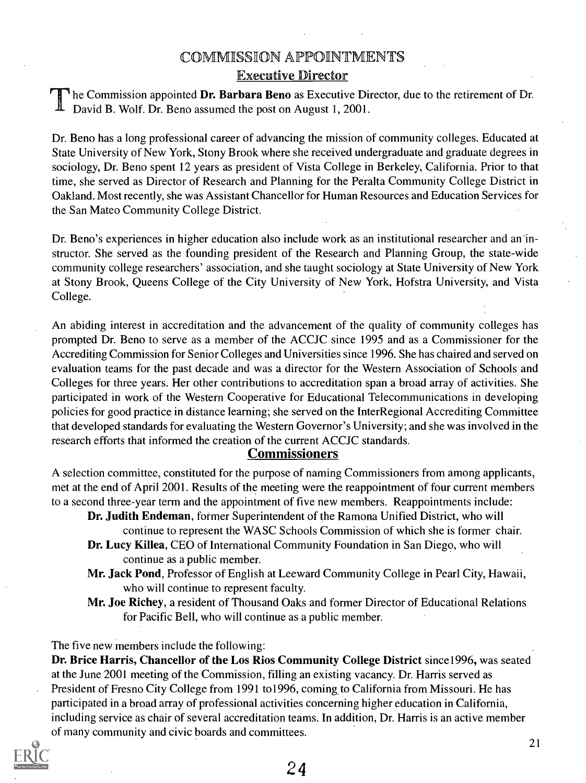# COMMISSIION APPOINTMENTS

# Executive Director

he Commission appointed Dr. Barbara Beno as Executive Director, due to the retirement of Dr. David B. Wolf. Dr. Beno assumed the post on August 1, 2001.

Dr. Beno has a long professional career of advancing the mission of community colleges. Educated at State University of New York, Stony Brook where she received undergraduate and graduate degrees in sociology, Dr. Beno spent 12 years as president of Vista College in Berkeley, California. Prior to that time, she served as Director of Research and Planning for the Peralta Community College District in Oakland. Most recently, she was Assistant Chancellor for Human Resources and Education Services for the San Mateo Community College District.

Dr. Beno's experiences in higher education also include work as an institutional researcher and an instructor. She served as the founding president of the Research and Planning Group, the state-wide community college researchers' association, and she taught sociology at State University of New York at Stony Brook, Queens College of the City University of New York, Hofstra University, and Vista College.

An abiding interest in accreditation and the advancement of the quality of community colleges has prompted Dr. Beno to serve as a member of the ACCJC since 1995 and as a Commissioner for the Accrediting Commission for Senior Colleges and Universities since 1996. She has chaired and served on evaluation teams for the past decade and was a director for the Western Association of Schools and Colleges for three years. Her other contributions to accreditation span a broad array of activities. She participated in work of the Western Cooperative for Educational Telecommunications in developing policies for good practice in distance learning; she served on the Inter Regional Accrediting Committee that developed standards for evaluating the Western Governor's University; and she was involved in the research efforts that informed the creation of the current ACCJC standards.

# **Commissioners**

A selection committee, constituted for the purpose of naming Commissioners from among applicants, met at the end of April 2001. Results of the meeting were the reappointment of four current members to a second three-year term and the appointment of five new members. Reappointments include:

- Dr. Judith Endeman, former Superintendent of the Ramona Unified District, who will continue to represent the WASC Schools Commission of which she is former chair.
- Dr. Lucy Killea, CEO of International Community Foundation in San Diego, who will continue as a public member.
- Mr. Jack Pond, Professor of English at Leeward Community College in Pearl City, Hawaii, who will continue to represent faculty.
- Mr. Joe Richey, a resident of Thousand Oaks and former Director of Educational Relations for Pacific Bell, who will continue as a public member.

The five new members include the following:

Dr. Brice Harris, Chancellor of the Los Rios Community College District since1996, was seated at the June 2001 meeting of the Commission, filling an existing vacancy. Dr. Harris served as President of Fresno City College from 1991 to1996, coming to California from Missouri. He has participated in a broad array of professional activities concerning higher education in California, including service as chair of several accreditation teams. In addition, Dr. Harris is an active member of many community and civic boards and committees.

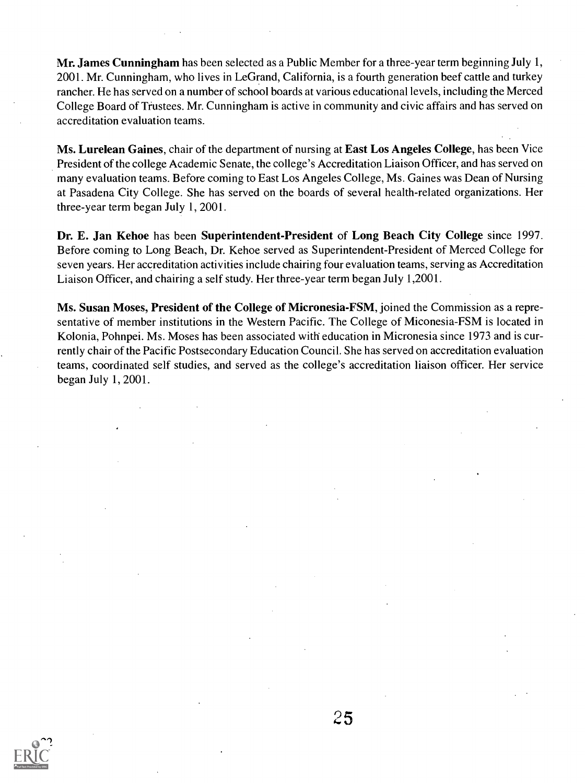Mr. James Cunningham has been selected as a Public Member for a three-year term beginning July 1, 2001. Mr. Cunningham, who lives in LeGrand, California, is a fourth generation beef cattle and turkey rancher. He has served on a number of school boards at various educational levels, including the Merced College Board of Trustees. Mr. Cunningham is active in community and civic affairs and has served on accreditation evaluation teams.

Ms. Lurelean Gaines, chair of the department of nursing at East Los Angeles College, has been Vice President of the college Academic Senate, the college's Accreditation Liaison Officer, and has served on many evaluation teams. Before coming to East Los Angeles College, Ms. Gaines was Dean of Nursing at Pasadena City College. She has served on the boards of several health-related organizations. Her three-year term began July 1, 2001.

Dr. E. Jan Kehoe has been Superintendent-President of Long Beach City College since 1997. Before coming to Long Beach, Dr. Kehoe served as Superintendent-President of Merced College for seven years. Her accreditation activities include chairing four evaluation teams, serving as Accreditation Liaison Officer, and chairing a self study. Her three-year term began July 1,2001.

Ms. Susan Moses, President of the College of Micronesia-FSM, joined the Commission as a representative of member institutions in the Western Pacific. The College of Miconesia-FSM is located in Kolonia, Pohnpei. Ms. Moses has been associated with education in Micronesia since 1973 and is currently chair of the Pacific Postsecondary Education Council. She has served on accreditation evaluation teams, coordinated self studies, and served as the college's accreditation liaison officer. Her service began July 1, 2001.

 $\mathcal{L}$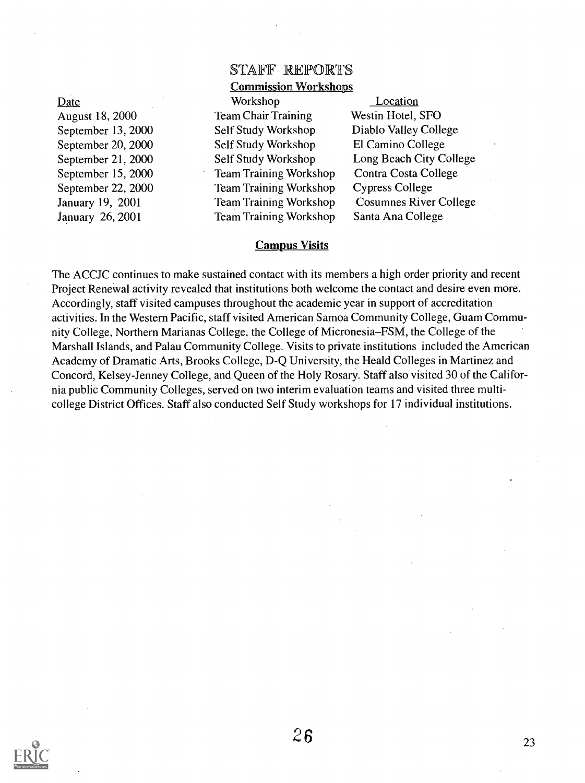Date

August 18, 2000 September 13, 2000 September 20, 2000 September 21, 2000 September 15, 2000 September 22, 2000 January 19, 2001 January 26, 2001

# STAFF REPORTS Commission Workshops

Workshop Team Chair Training Self Study Workshop Self Study Workshop Self Study Workshop Team Training Workshop Team Training Workshop Team Training Workshop Team Training Workshop

Location Westin Hotel, SFO Diablo Valley College El Camino College Long Beach City College Contra Costa College Cypress College Cosumnes River College Santa Ana College

#### Campus Visits

The ACCJC continues to make sustained contact with its members a high order priority and recent Project Renewal activity revealed that institutions both welcome the contact and desire even more. Accordingly, staff visited campuses throughout the academic year in support of accreditation activities. In the Western Pacific, staff visited American Samoa Community College, Guam Community College, Northern Marianas College, the College of Micronesia–FSM, the College of the Marshall Islands, and Palau Community College. Visits to private institutions included the American Academy of Dramatic Arts, Brooks College, D-Q University, the Heald Colleges in Martinez and Concord, Kelsey-Jenney College, and Queen of the Holy Rosary. Staff also visited 30 of the California public Community Colleges, served on two interim evaluation teams and visited three multicollege District Offices. Staff also conducted Self Study workshops for 17 individual institutions.

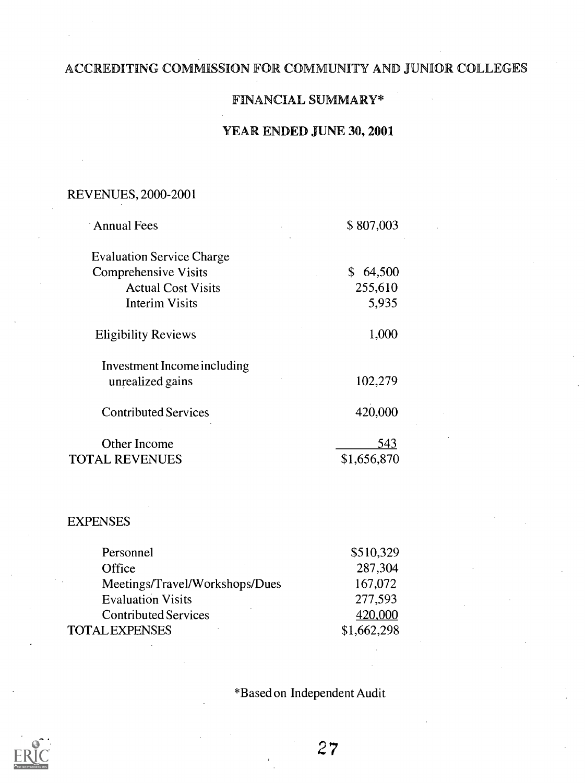# ACCREDITING COMMISSION FOR COMMUNITY AND JUNIOR COLLEGES

# FINANCIAL SUMMARY\*

# YEA ENDED JUNE 30, 2001

# REVENUES, 2000-2001

| <b>Annual Fees</b>               | \$807,003    |  |
|----------------------------------|--------------|--|
| <b>Evaluation Service Charge</b> |              |  |
| <b>Comprehensive Visits</b>      | \$<br>64,500 |  |
| <b>Actual Cost Visits</b>        | 255,610      |  |
| <b>Interim Visits</b>            | 5,935        |  |
| <b>Eligibility Reviews</b>       | 1,000        |  |
| Investment Income including      |              |  |
| unrealized gains                 | 102,279      |  |
| <b>Contributed Services</b>      | 420,000      |  |
| <b>Other Income</b>              | 543          |  |
| TOTAL REVENUES                   | \$1,656,870  |  |

### EXPENSES

| Personnel                      | \$510,329   |
|--------------------------------|-------------|
| Office                         | 287,304     |
| Meetings/Travel/Workshops/Dues | 167,072     |
| <b>Evaluation Visits</b>       | 277,593     |
| <b>Contributed Services</b>    | 420,000     |
| <b>TOTAL EXPENSES</b>          | \$1,662,298 |

\*Based on Independent Audit

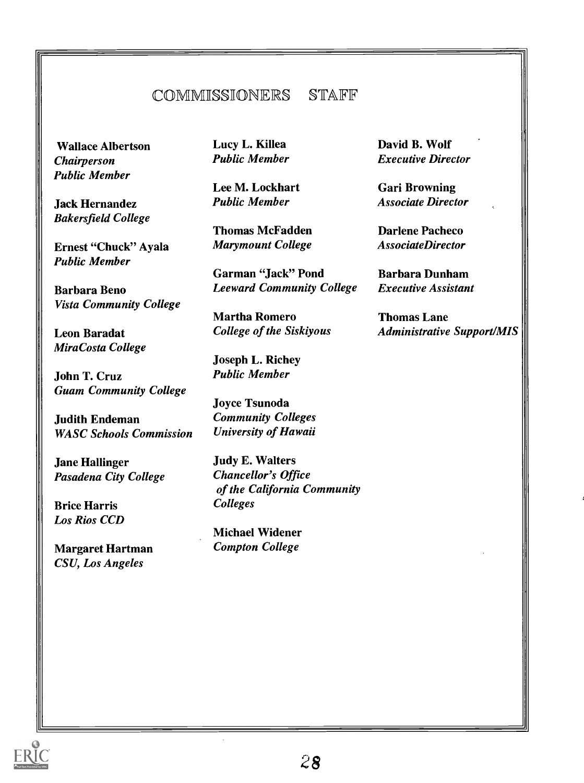# COMMISSIDNERS STAFF

Wallace Albertson Chairperson Public Member

Jack Hernandez Bakersfield College

Ernest "Chuck" Ayala Public Member

Barbara Beno Vista Community College

Leon Baradat Mira Costa College

John T. Cruz Guam Community College

Judith Endeman WASC Schools Commission

**Jane Hallinger** Pasadena City College

Brice Harris Los Rios CCD

Margaret Hartman CSU, Los Angeles

Lucy L. Killea Public Member

Lee M. Lockhart Public Member

Thomas McFadden Marymount College

Garman "Jack" Pond Leeward Community College

Martha Romero College of the Siskiyous

Joseph L. Richey Public Member

Joyce Tsunoda Community Colleges University of Hawaii

Judy E. Walters Chancellor's Office of the California Community Colleges

Michael Widener Compton College

David B. Wolf Executive Director

Gari Browning Associate Director

Darlene Pacheco AssociateDirector

Barbara Dunham Executive Assistant

Thomas Lane Administrative Support/MIS

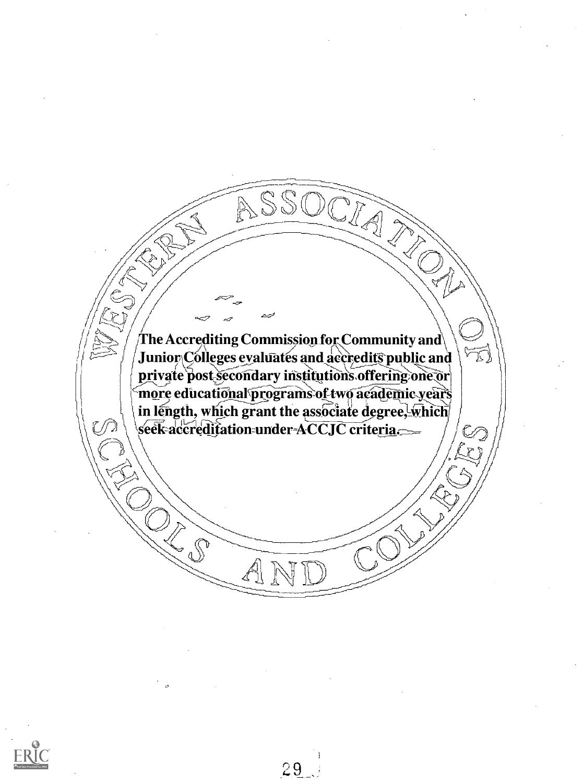